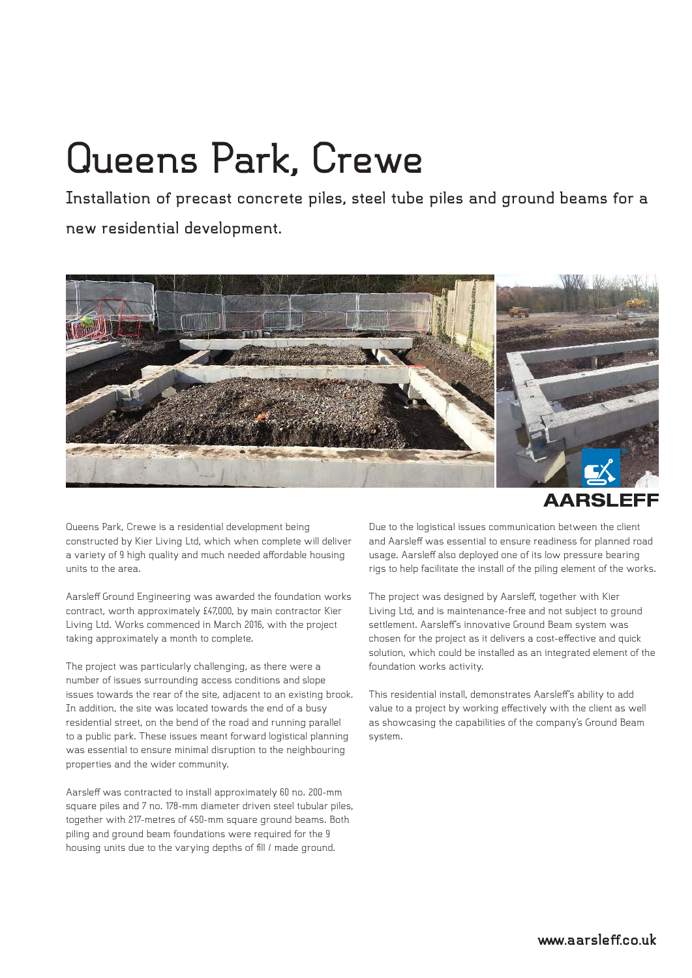## **Queens Park, Crewe**

**Installation of precast concrete piles, steel tube piles and ground beams for a new residential development.**



**AARSLEFF** 

Queens Park, Crewe is a residential development being constructed by Kier Living Ltd, which when complete will deliver a variety of 9 high quality and much needed affordable housing units to the area.

Aarsleff Ground Engineering was awarded the foundation works contract, worth approximately £47,000, by main contractor Kier Living Ltd. Works commenced in March 2016, with the project taking approximately a month to complete.

The project was particularly challenging, as there were a number of issues surrounding access conditions and slope issues towards the rear of the site, adjacent to an existing brook. In addition, the site was located towards the end of a busy residential street, on the bend of the road and running parallel to a public park. These issues meant forward logistical planning was essential to ensure minimal disruption to the neighbouring properties and the wider community.

Aarsleff was contracted to install approximately 60 no. 200-mm square piles and 7 no. 178-mm diameter driven steel tubular piles, together with 217-metres of 450-mm square ground beams. Both piling and ground beam foundations were required for the 9 housing units due to the varying depths of fill / made ground.

Due to the logistical issues communication between the client and Aarsleff was essential to ensure readiness for planned road usage. Aarsleff also deployed one of its low pressure bearing rigs to help facilitate the install of the piling element of the works.

The project was designed by Aarsleff, together with Kier Living Ltd, and is maintenance-free and not subject to ground settlement. Aarsleff's innovative Ground Beam system was chosen for the project as it delivers a cost-effective and quick solution, which could be installed as an integrated element of the foundation works activity.

This residential install, demonstrates Aarsleff's ability to add value to a project by working effectively with the client as well as showcasing the capabilities of the company's Ground Beam system.